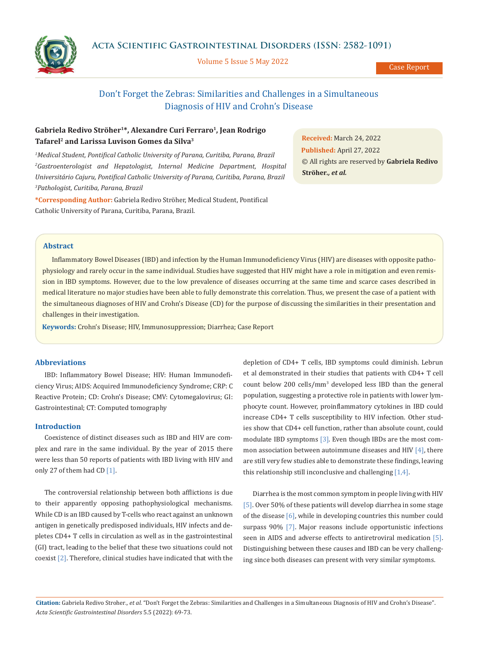**Acta Scientific Gastrointestinal Disorders (ISSN: 2582-1091)**



Volume 5 Issue 5 May 2022

Case Report

# Don't Forget the Zebras: Similarities and Challenges in a Simultaneous Diagnosis of HIV and Crohn's Disease

## Gabriela Redivo Ströher<sup>1\*</sup>, Alexandre Curi Ferraro<sup>1</sup>, Jean Rodrigo **Tafarel2 and Larissa Luvison Gomes da Silva3**

*1 Medical Student, Pontifical Catholic University of Parana, Curitiba, Parana, Brazil* <sup>2</sup> Gastroenterologist and Hepatologist, Internal Medicine Department, Hospital *Universitário Cajuru, Pontifical Catholic University of Parana, Curitiba, Parana, Brazil 3 Pathologist, Curitiba, Parana, Brazil*

**\*Corresponding Author:** Gabriela Redivo Ströher, Medical Student, Pontifical Catholic University of Parana, Curitiba, Parana, Brazil.

**Received:** March 24, 2022 **Published:** April 27, 2022 © All rights are reserved by **Gabriela Redivo Ströher***., et al.*

### **Abstract**

Inflammatory Bowel Diseases (IBD) and infection by the Human Immunodeficiency Virus (HIV) are diseases with opposite pathophysiology and rarely occur in the same individual. Studies have suggested that HIV might have a role in mitigation and even remission in IBD symptoms. However, due to the low prevalence of diseases occurring at the same time and scarce cases described in medical literature no major studies have been able to fully demonstrate this correlation. Thus, we present the case of a patient with the simultaneous diagnoses of HIV and Crohn's Disease (CD) for the purpose of discussing the similarities in their presentation and challenges in their investigation.

**Keywords:** Crohn's Disease; HIV, Immunosuppression; Diarrhea; Case Report

## **Abbreviations**

IBD: Inflammatory Bowel Disease; HIV: Human Immunodeficiency Virus; AIDS: Acquired Immunodeficiency Syndrome; CRP: C Reactive Protein; CD: Crohn's Disease; CMV: Cytomegalovirus; GI: Gastrointestinal; CT: Computed tomography

#### **Introduction**

Coexistence of distinct diseases such as IBD and HIV are complex and rare in the same individual. By the year of 2015 there were less than 50 reports of patients with IBD living with HIV and only 27 of them had CD [1].

The controversial relationship between both afflictions is due to their apparently opposing pathophysiological mechanisms. While CD is an IBD caused by T-cells who react against an unknown antigen in genetically predisposed individuals, HIV infects and depletes CD4+ T cells in circulation as well as in the gastrointestinal (GI) tract, leading to the belief that these two situations could not coexist [2]. Therefore, clinical studies have indicated that with the

depletion of CD4+ T cells, IBD symptoms could diminish. Lebrun et al demonstrated in their studies that patients with CD4+ T cell count below 200 cells/mm<sup>3</sup> developed less IBD than the general population, suggesting a protective role in patients with lower lymphocyte count. However, proinflammatory cytokines in IBD could increase CD4+ T cells susceptibility to HIV infection. Other studies show that CD4+ cell function, rather than absolute count, could modulate IBD symptoms [3]. Even though IBDs are the most common association between autoimmune diseases and HIV [4], there are still very few studies able to demonstrate these findings, leaving this relationship still inconclusive and challenging  $[1,4]$ .

Diarrhea is the most common symptom in people living with HIV [5]. Over 50% of these patients will develop diarrhea in some stage of the disease [6], while in developing countries this number could surpass 90% [7]. Major reasons include opportunistic infections seen in AIDS and adverse effects to antiretroviral medication [5]. Distinguishing between these causes and IBD can be very challenging since both diseases can present with very similar symptoms.

**Citation:** Gabriela Redivo Stroher*., et al.* "Don't Forget the Zebras: Similarities and Challenges in a Simultaneous Diagnosis of HIV and Crohn's Disease". *Acta Scientific Gastrointestinal Disorders* 5.5 (2022): 69-73.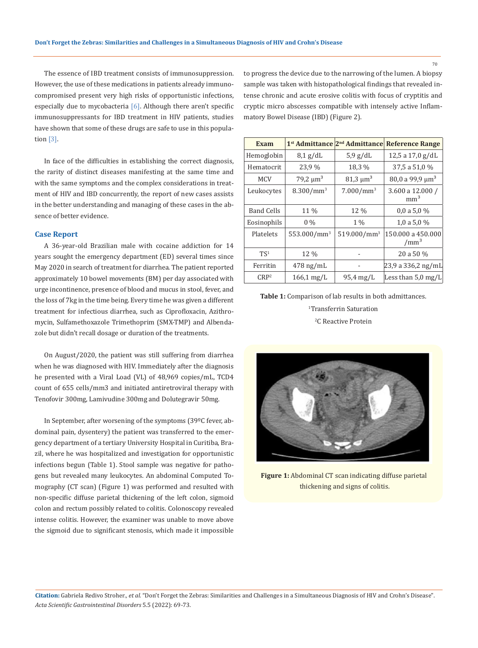The essence of IBD treatment consists of immunosuppression. However, the use of these medications in patients already immunocompromised present very high risks of opportunistic infections, especially due to mycobacteria  $[6]$ . Although there aren't specific immunosuppressants for IBD treatment in HIV patients, studies have shown that some of these drugs are safe to use in this population [3].

In face of the difficulties in establishing the correct diagnosis, the rarity of distinct diseases manifesting at the same time and with the same symptoms and the complex considerations in treatment of HIV and IBD concurrently, the report of new cases assists in the better understanding and managing of these cases in the absence of better evidence.

## **Case Report**

A 36-year-old Brazilian male with cocaine addiction for 14 years sought the emergency department (ED) several times since May 2020 in search of treatment for diarrhea. The patient reported approximately 10 bowel movements (BM) per day associated with urge incontinence, presence of blood and mucus in stool, fever, and the loss of 7kg in the time being. Every time he was given a different treatment for infectious diarrhea, such as Ciprofloxacin, Azithromycin, Sulfamethoxazole Trimethoprim (SMX-TMP) and Albendazole but didn't recall dosage or duration of the treatments.

On August/2020, the patient was still suffering from diarrhea when he was diagnosed with HIV. Immediately after the diagnosis he presented with a Viral Load (VL) of 48,969 copies/mL, TCD4 count of 655 cells/mm3 and initiated antiretroviral therapy with Tenofovir 300mg, Lamivudine 300mg and Dolutegravir 50mg.

In September, after worsening of the symptoms (39ºC fever, abdominal pain, dysentery) the patient was transferred to the emergency department of a tertiary University Hospital in Curitiba, Brazil, where he was hospitalized and investigation for opportunistic infections begun (Table 1). Stool sample was negative for pathogens but revealed many leukocytes. An abdominal Computed Tomography (CT scan) (Figure 1) was performed and resulted with non-specific diffuse parietal thickening of the left colon, sigmoid colon and rectum possibly related to colitis. Colonoscopy revealed intense colitis. However, the examiner was unable to move above the sigmoid due to significant stenosis, which made it impossible to progress the device due to the narrowing of the lumen. A biopsy sample was taken with histopathological findings that revealed intense chronic and acute erosive colitis with focus of cryptitis and cryptic micro abscesses compatible with intensely active Inflammatory Bowel Disease (IBD) (Figure 2).

| Exam              |                           | 1 <sup>st</sup> Admittance <sup>[2nd</sup> Admittance] | <b>Reference Range</b>                |
|-------------------|---------------------------|--------------------------------------------------------|---------------------------------------|
| Hemoglobin        | $8,1$ g/dL                | $5.9$ g/dL                                             | 12,5 a 17,0 g/dL                      |
| Hematocrit        | 23,9 %                    | 18,3 %                                                 | 37,5 a 51,0 %                         |
| <b>MCV</b>        | 79,2 $\mu$ m <sup>3</sup> | $81,3 \mu m^3$                                         | 80,0 a 99,9 $\mu$ m <sup>3</sup>      |
| Leukocytes        | 8.300/mm <sup>3</sup>     | 7.000/mm <sup>3</sup>                                  | 3.600 a 12.000 /<br>mm <sup>3</sup>   |
| <b>Band Cells</b> | 11 %                      | 12 %                                                   | 0.0 a 5.0 %                           |
| Eosinophils       | $0\%$                     | $1\%$                                                  | 1,0 a 5,0 $%$                         |
| Platelets         | 553.000/mm <sup>3</sup>   | 519.000/mm <sup>3</sup>                                | 150,000 a 450,000<br>/mm <sup>3</sup> |
| TS <sup>1</sup>   | 12 %                      |                                                        | 20 a 50 %                             |
| Ferritin          | $478 \text{ ng/mL}$       |                                                        | 23,9 a 336,2 ng/mL                    |
| CRP <sup>2</sup>  | $166.1 \,\mathrm{mg/L}$   | $95.4 \text{ mg/L}$                                    | Less than $5.0 \,\mathrm{mg/L}$       |

**Table 1:** Comparison of lab results in both admittances. 1 Transferrin Saturation

2 C Reactive Protein



**Figure 1:** Abdominal CT scan indicating diffuse parietal thickening and signs of colitis.

70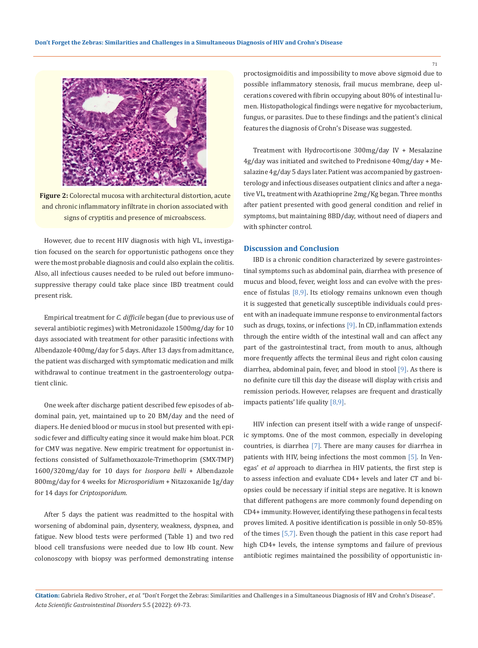

**Figure 2:** Colorectal mucosa with architectural distortion, acute and chronic inflammatory infiltrate in chorion associated with signs of cryptitis and presence of microabscess.

However, due to recent HIV diagnosis with high VL, investigation focused on the search for opportunistic pathogens once they were the most probable diagnosis and could also explain the colitis. Also, all infectious causes needed to be ruled out before immunosuppressive therapy could take place since IBD treatment could present risk.

Empirical treatment for *C. difficile* began (due to previous use of several antibiotic regimes) with Metronidazole 1500mg/day for 10 days associated with treatment for other parasitic infections with Albendazole 400mg/day for 5 days. After 13 days from admittance, the patient was discharged with symptomatic medication and milk withdrawal to continue treatment in the gastroenterology outpatient clinic.

One week after discharge patient described few episodes of abdominal pain, yet, maintained up to 20 BM/day and the need of diapers. He denied blood or mucus in stool but presented with episodic fever and difficulty eating since it would make him bloat. PCR for CMV was negative. New empiric treatment for opportunist infections consisted of Sulfamethoxazole-Trimethoprim (SMX-TMP) 1600/320mg/day for 10 days for *Isospora belli* + Albendazole 800mg/day for 4 weeks for *Microsporidium* + Nitazoxanide 1g/day for 14 days for *Criptosporidum*.

After 5 days the patient was readmitted to the hospital with worsening of abdominal pain, dysentery, weakness, dyspnea, and fatigue. New blood tests were performed (Table 1) and two red blood cell transfusions were needed due to low Hb count. New colonoscopy with biopsy was performed demonstrating intense proctosigmoiditis and impossibility to move above sigmoid due to possible inflammatory stenosis, frail mucus membrane, deep ulcerations covered with fibrin occupying about 80% of intestinal lumen. Histopathological findings were negative for mycobacterium, fungus, or parasites. Due to these findings and the patient's clinical features the diagnosis of Crohn's Disease was suggested.

Treatment with Hydrocortisone 300mg/day IV + Mesalazine 4g/day was initiated and switched to Prednisone 40mg/day + Mesalazine 4g/day 5 days later. Patient was accompanied by gastroenterology and infectious diseases outpatient clinics and after a negative VL, treatment with Azathioprine 2mg/Kg began. Three months after patient presented with good general condition and relief in symptoms, but maintaining 8BD/day, without need of diapers and with sphincter control.

## **Discussion and Conclusion**

IBD is a chronic condition characterized by severe gastrointestinal symptoms such as abdominal pain, diarrhea with presence of mucus and blood, fever, weight loss and can evolve with the presence of fistulas [8,9]. Its etiology remains unknown even though it is suggested that genetically susceptible individuals could present with an inadequate immune response to environmental factors such as drugs, toxins, or infections [9]. In CD, inflammation extends through the entire width of the intestinal wall and can affect any part of the gastrointestinal tract, from mouth to anus, although more frequently affects the terminal ileus and right colon causing diarrhea, abdominal pain, fever, and blood in stool [9]. As there is no definite cure till this day the disease will display with crisis and remission periods. However, relapses are frequent and drastically impacts patients' life quality [8,9].

HIV infection can present itself with a wide range of unspecific symptoms. One of the most common, especially in developing countries, is diarrhea [7]. There are many causes for diarrhea in patients with HIV, being infections the most common [5]. In Venegas' *et al* approach to diarrhea in HIV patients, the first step is to assess infection and evaluate CD4+ levels and later CT and biopsies could be necessary if initial steps are negative. It is known that different pathogens are more commonly found depending on CD4+ immunity. However, identifying these pathogens in fecal tests proves limited. A positive identification is possible in only 50-85% of the times [5,7]. Even though the patient in this case report had high CD4+ levels, the intense symptoms and failure of previous antibiotic regimes maintained the possibility of opportunistic in-

**Citation:** Gabriela Redivo Stroher*., et al.* "Don't Forget the Zebras: Similarities and Challenges in a Simultaneous Diagnosis of HIV and Crohn's Disease". *Acta Scientific Gastrointestinal Disorders* 5.5 (2022): 69-73.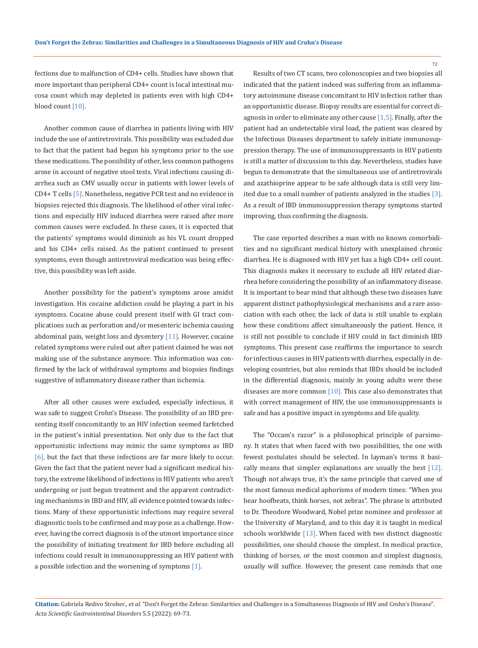fections due to malfunction of CD4+ cells. Studies have shown that more important than peripheral CD4+ count is local intestinal mucosa count which may depleted in patients even with high CD4+ blood count [10].

Another common cause of diarrhea in patients living with HIV include the use of antiretrovirals. This possibility was excluded due to fact that the patient had begun his symptoms prior to the use these medications. The possibility of other, less common pathogens arose in account of negative stool tests. Viral infections causing diarrhea such as CMV usually occur in patients with lower levels of CD4+ T cells [5]. Nonetheless, negative PCR test and no evidence in biopsies rejected this diagnosis. The likelihood of other viral infections and especially HIV induced diarrhea were raised after more common causes were excluded. In these cases, it is expected that the patients' symptoms would diminish as his VL count dropped and his CD4+ cells raised. As the patient continued to present symptoms, even though antiretroviral medication was being effective, this possibility was left aside.

Another possibility for the patient's symptoms arose amidst investigation. His cocaine addiction could be playing a part in his symptoms. Cocaine abuse could present itself with GI tract complications such as perforation and/or mesenteric ischemia causing abdominal pain, weight loss and dysentery  $[11]$ . However, cocaine related symptoms were ruled out after patient claimed he was not making use of the substance anymore. This information was confirmed by the lack of withdrawal symptoms and biopsies findings suggestive of inflammatory disease rather than ischemia.

After all other causes were excluded, especially infectious, it was safe to suggest Crohn's Disease. The possibility of an IBD presenting itself concomitantly to an HIV infection seemed farfetched in the patient's initial presentation. Not only due to the fact that opportunistic infections may mimic the same symptoms as IBD [6], but the fact that these infections are far more likely to occur. Given the fact that the patient never had a significant medical history, the extreme likelihood of infections in HIV patients who aren't undergoing or just begun treatment and the apparent contradicting mechanisms in IBD and HIV, all evidence pointed towards infections. Many of these opportunistic infections may require several diagnostic tools to be confirmed and may pose as a challenge. However, having the correct diagnosis is of the utmost importance since the possibility of initiating treatment for IBD before excluding all infections could result in immunosuppressing an HIV patient with a possible infection and the worsening of symptoms [1].

Results of two CT scans, two colonoscopies and two biopsies all indicated that the patient indeed was suffering from an inflammatory autoimmune disease concomitant to HIV infection rather than an opportunistic disease. Biopsy results are essential for correct diagnosis in order to eliminate any other cause [1,5]. Finally, after the patient had an undetectable viral load, the patient was cleared by the Infectious Diseases department to safely initiate immunosuppression therapy. The use of immunosuppressants in HIV patients is still a matter of discussion to this day. Nevertheless, studies have begun to demonstrate that the simultaneous use of antiretrovirals and azathioprine appear to be safe although data is still very limited due to a small number of patients analyzed in the studies [3]. As a result of IBD immunosuppression therapy symptoms started improving, thus confirming the diagnosis.

The case reported describes a man with no known comorbidities and no significant medical history with unexplained chronic diarrhea. He is diagnosed with HIV yet has a high CD4+ cell count. This diagnosis makes it necessary to exclude all HIV related diarrhea before considering the possibility of an inflammatory disease. It is important to bear mind that although these two diseases have apparent distinct pathophysiological mechanisms and a rare association with each other, the lack of data is still unable to explain how these conditions affect simultaneously the patient. Hence, it is still not possible to conclude if HIV could in fact diminish IBD symptoms. This present case reaffirms the importance to search for infectious causes in HIV patients with diarrhea, especially in developing countries, but also reminds that IBDs should be included in the differential diagnosis, mainly in young adults were these diseases are more common  $[10]$ . This case also demonstrates that with correct management of HIV, the use immunosuppressants is safe and has a positive impact in symptoms and life quality.

The "Occam's razor" is a philosophical principle of parsimony. It states that when faced with two possibilities, the one with fewest postulates should be selected. In layman's terms it basically means that simpler explanations are usually the best [12]. Though not always true, it's the same principle that carved one of the most famous medical aphorisms of modern times: "When you hear hoofbeats, think horses, not zebras". The phrase is attributed to Dr. Theodore Woodward, Nobel prize nominee and professor at the University of Maryland, and to this day it is taught in medical schools worldwide [13]. When faced with two distinct diagnostic possibilities, one should choose the simplest. In medical practice, thinking of horses, or the most common and simplest diagnosis, usually will suffice. However, the present case reminds that one

**Citation:** Gabriela Redivo Stroher*., et al.* "Don't Forget the Zebras: Similarities and Challenges in a Simultaneous Diagnosis of HIV and Crohn's Disease". *Acta Scientific Gastrointestinal Disorders* 5.5 (2022): 69-73.

72